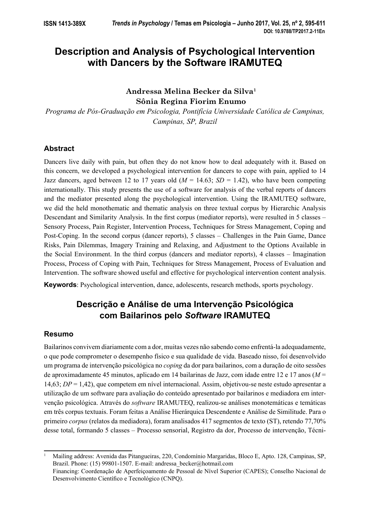# **Description and Analysis of Psychological Intervention with Dancers by the Software IRAMUTEQ**

**Andressa Melina Becker da Silva1 Sônia Regina Fiorim Enumo**

*Programa de Pós-Graduação em Psicologia, Pontifícia Universidade Católica de Campinas, Campinas, SP, Brazil*

## **Abstract**

Dancers live daily with pain, but often they do not know how to deal adequately with it. Based on this concern, we developed a psychological intervention for dancers to cope with pain, applied to 14 Jazz dancers, aged between 12 to 17 years old  $(M = 14.63; SD = 1.42)$ , who have been competing internationally. This study presents the use of a software for analysis of the verbal reports of dancers and the mediator presented along the psychological intervention. Using the IRAMUTEQ software, we did the held monothematic and thematic analysis on three textual corpus by Hierarchic Analysis Descendant and Similarity Analysis. In the first corpus (mediator reports), were resulted in 5 classes – Sensory Process, Pain Register, Intervention Process, Techniques for Stress Management, Coping and Post-Coping. In the second corpus (dancer reports), 5 classes – Challenges in the Pain Game, Dance Risks, Pain Dilemmas, Imagery Training and Relaxing, and Adjustment to the Options Available in the Social Environment. In the third corpus (dancers and mediator reports), 4 classes – Imagination Process, Process of Coping with Pain, Techniques for Stress Management, Process of Evaluation and Intervention. The software showed useful and effective for psychological intervention content analysis.

**Keywords**: Psychological intervention, dance, adolescents, research methods, sports psychology.

## **Descrição e Análise de uma Intervenção Psicológica com Bailarinos pelo** *Software* **IRAMUTEQ**

## **Resumo**

Bailarinos convivem diariamente com a dor, muitas vezes não sabendo como enfrentá-la adequadamente, o que pode comprometer o desempenho físico e sua qualidade de vida. Baseado nisso, foi desenvolvido um programa de intervenção psicológica no *coping* da dor para bailarinos, com a duração de oito sessões de aproximadamente 45 minutos, aplicado em 14 bailarinas de Jazz, com idade entre 12 e 17 anos (*M* = 14,63; *DP* = 1,42), que competem em nível internacional. Assim, objetivou-se neste estudo apresentar a utilização de um software para avaliação do conteúdo apresentado por bailarinos e mediadora em intervenção psicológica. Através do *software* IRAMUTEQ, realizou-se análises monotemáticas e temáticas em três corpus textuais. Foram feitas a Análise Hierárquica Descendente e Análise de Similitude. Para o primeiro *corpus* (relatos da mediadora), foram analisados 417 segmentos de texto (ST), retendo 77,70% desse total, formando 5 classes – Processo sensorial, Registro da dor, Processo de intervenção, Técni-

<sup>1</sup> Mailing address: Avenida das Pitangueiras, 220, Condomínio Margaridas, Bloco E, Apto. 128, Campinas, SP, Brazil. Phone: (15) 99801-1507. E-mail: andressa\_becker@hotmail.com Financing: Coordenação de Aperfeiçoamento de Pessoal de Nível Superior (CAPES); Conselho Nacional de Desenvolvimento Científico e Tecnológico (CNPQ).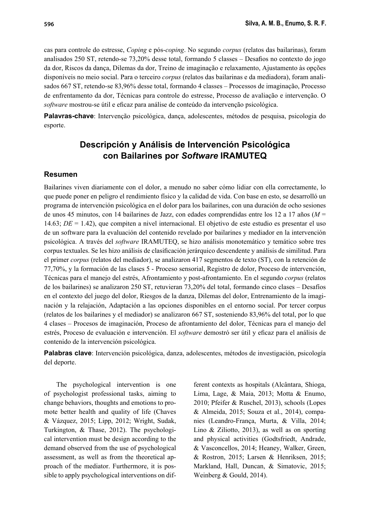cas para controle do estresse, *Coping* e pós-*coping*. No segundo *corpus* (relatos das bailarinas), foram analisados 250 ST, retendo-se 73,20% desse total, formando 5 classes – Desafios no contexto do jogo da dor, Riscos da dança, Dilemas da dor, Treino de imaginação e relaxamento, Ajustamento às opções disponíveis no meio social. Para o terceiro *corpus* (relatos das bailarinas e da mediadora), foram analisados 667 ST, retendo-se 83,96% desse total, formando 4 classes – Processos de imaginação, Processo de enfrentamento da dor, Técnicas para controle do estresse, Processo de avaliação e intervenção. O *software* mostrou-se útil e eficaz para análise de conteúdo da intervenção psicológica.

**Palavras-chave**: Intervenção psicológica, dança, adolescentes, métodos de pesquisa, psicologia do esporte.

## **Descripción y Análisis de Intervención Psicológica con Bailarines por** *Software* **IRAMUTEQ**

### **Resumen**

Bailarines viven diariamente con el dolor, a menudo no saber cómo lidiar con ella correctamente, lo que puede poner en peligro el rendimiento físico y la calidad de vida. Con base en esto, se desarrolló un programa de intervención psicológica en el dolor para los bailarines, con una duración de ocho sesiones de unos 45 minutos, con 14 bailarines de Jazz, con edades comprendidas entre los 12 a 17 años (*M* = 14.63; *DE* = 1.42), que compiten a nivel internacional. El objetivo de este estudio es presentar el uso de un software para la evaluación del contenido revelado por bailarines y mediador en la intervención psicológica. A través del *software* IRAMUTEQ, se hizo análisis monotemático y temático sobre tres corpus textuales. Se les hizo análisis de clasificación jerárquico descendente y análisis de similitud. Para el primer *corpus* (relatos del mediador), se analizaron 417 segmentos de texto (ST), con la retención de 77,70%, y la formación de las clases 5 - Proceso sensorial, Registro de dolor, Proceso de intervención, Técnicas para el manejo del estrés, Afrontamiento y post-afrontamiento. En el segundo *corpus* (relatos de los bailarines) se analizaron 250 ST, retuvieran 73,20% del total, formando cinco clases – Desafíos en el contexto del juego del dolor, Riesgos de la danza, Dilemas del dolor, Entrenamiento de la imaginación y la relajación, Adaptación a las opciones disponibles en el entorno social. Por tercer corpus (relatos de los bailarines y el mediador) se analizaron 667 ST, sosteniendo 83,96% del total, por lo que 4 clases – Procesos de imaginación, Proceso de afrontamiento del dolor, Técnicas para el manejo del estrés, Proceso de evaluación e intervención. El *software* demostró ser útil y eficaz para el análisis de contenido de la intervención psicológica.

**Palabras clave**: Intervención psicológica, danza, adolescentes, métodos de investigación, psicología del deporte.

The psychological intervention is one of psychologist professional tasks, aiming to change behaviors, thoughts and emotions to promote better health and quality of life (Chaves & Vázquez, 2015; Lipp, 2012; Wright, Sudak, Turkington, & Thase, 2012). The psychological intervention must be design according to the demand observed from the use of psychological assessment, as well as from the theoretical approach of the mediator. Furthermore, it is possible to apply psychological interventions on different contexts as hospitals (Alcântara, Shioga, Lima, Lage, & Maia, 2013; Motta & Enumo, 2010; Pfeifer & Ruschel, 2013), schools (Lopes & Almeida, 2015; Souza et al., 2014), companies (Leandro-França, Murta, & Villa, 2014; Lino & Ziliotto, 2013), as well as on sporting and physical activities (Godtsfriedt, Andrade, & Vasconcellos, 2014; Heaney, Walker, Green, & Rostron, 2015; Larsen & Henriksen, 2015; Markland, Hall, Duncan, & Simatovic, 2015; Weinberg & Gould, 2014).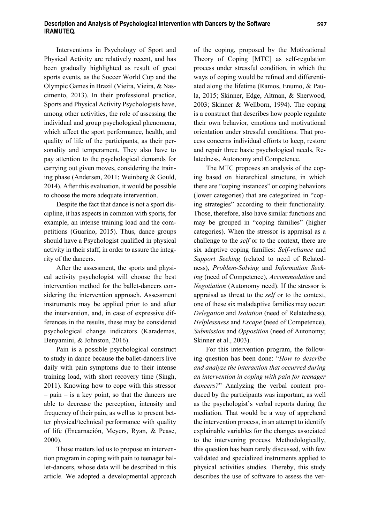Interventions in Psychology of Sport and Physical Activity are relatively recent, and has been gradually highlighted as result of great sports events, as the Soccer World Cup and the Olympic Games in Brazil (Vieira, Vieira, & Nascimento, 2013). In their professional practice, Sports and Physical Activity Psychologists have, among other activities, the role of assessing the individual and group psychological phenomena, which affect the sport performance, health, and quality of life of the participants, as their personality and temperament. They also have to pay attention to the psychological demands for carrying out given moves, considering the training phase (Andersen, 2011; Weinberg & Gould, 2014). After this evaluation, it would be possible to choose the more adequate intervention.

Despite the fact that dance is not a sport discipline, it has aspects in common with sports, for example, an intense training load and the competitions (Guarino, 2015). Thus, dance groups should have a Psychologist qualified in physical activity in their staff, in order to assure the integrity of the dancers.

After the assessment, the sports and physical activity psychologist will choose the best intervention method for the ballet-dancers considering the intervention approach. Assessment instruments may be applied prior to and after the intervention, and, in case of expressive differences in the results, these may be considered psychological change indicators (Karademas, Benyamini, & Johnston, 2016).

Pain is a possible psychological construct to study in dance because the ballet-dancers live daily with pain symptoms due to their intense training load, with short recovery time (Singh, 2011). Knowing how to cope with this stressor – pain – is a key point, so that the dancers are able to decrease the perception, intensity and frequency of their pain, as well as to present better physical/technical performance with quality of life (Encarnación, Meyers, Ryan, & Pease, 2000).

Those matters led us to propose an intervention program in coping with pain to teenager ballet-dancers, whose data will be described in this article. We adopted a developmental approach of the coping, proposed by the Motivational Theory of Coping [MTC] as self-regulation process under stressful condition, in which the ways of coping would be refined and differentiated along the lifetime (Ramos, Enumo, & Paula, 2015; Skinner, Edge, Altman, & Sherwood, 2003; Skinner & Wellborn, 1994). The coping is a construct that describes how people regulate their own behavior, emotions and motivational orientation under stressful conditions. That process concerns individual efforts to keep, restore and repair three basic psychological needs, Relatedness, Autonomy and Competence.

The MTC proposes an analysis of the coping based on hierarchical structure, in which there are "coping instances" or coping behaviors (lower categories) that are categorized in "coping strategies" according to their functionality. Those, therefore, also have similar functions and may be grouped in "coping families" (higher categories). When the stressor is appraisal as a challenge to the *self* or to the context, there are six adaptive coping families: *Self-reliance* and *Support Seeking* (related to need of Relatedness), *Problem-Solving* and *Information Seeking* (need of Competence), *Accommodation* and *Negotiation* (Autonomy need). If the stressor is appraisal as threat to the *self* or to the context, one of these six maladaptive families may occur: *Delegation* and *Isolation* (need of Relatedness), *Helplessness* and *Escape* (need of Competence), *Submission* and *Opposition* (need of Autonomy; Skinner et al., 2003).

For this intervention program, the following question has been done: "*How to describe and analyze the interaction that occurred during an intervention in coping with pain for teenager dancers?*" Analyzing the verbal content produced by the participants was important, as well as the psychologist's verbal reports during the mediation. That would be a way of apprehend the intervention process, in an attempt to identify explainable variables for the changes associated to the intervening process. Methodologically, this question has been rarely discussed, with few validated and specialized instruments applied to physical activities studies. Thereby, this study describes the use of software to assess the ver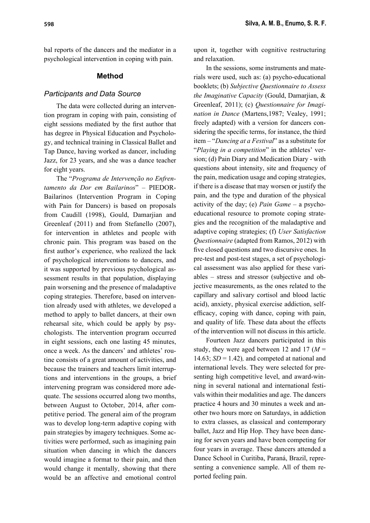bal reports of the dancers and the mediator in a psychological intervention in coping with pain.

#### **Method**

#### *Participants and Data Source*

The data were collected during an intervention program in coping with pain, consisting of eight sessions mediated by the first author that has degree in Physical Education and Psychology, and technical training in Classical Ballet and Tap Dance, having worked as dancer, including Jazz, for 23 years, and she was a dance teacher for eight years.

The "*Programa de Intervenção no Enfrentamento da Dor em Bailarinos*" – PIEDOR-Bailarinos (Intervention Program in Coping with Pain for Dancers) is based on proposals from Caudill (1998), Gould, Damarjian and Greenleaf (2011) and from Stefanello (2007), for intervention in athletes and people with chronic pain. This program was based on the first author's experience, who realized the lack of psychological interventions to dancers, and it was supported by previous psychological assessment results in that population, displaying pain worsening and the presence of maladaptive coping strategies. Therefore, based on intervention already used with athletes, we developed a method to apply to ballet dancers, at their own rehearsal site, which could be apply by psychologists. The intervention program occurred in eight sessions, each one lasting 45 minutes, once a week. As the dancers' and athletes' routine consists of a great amount of activities, and because the trainers and teachers limit interruptions and interventions in the groups, a brief intervening program was considered more adequate. The sessions occurred along two months, between August to October, 2014, after competitive period. The general aim of the program was to develop long-term adaptive coping with pain strategies by imagery techniques. Some activities were performed, such as imagining pain situation when dancing in which the dancers would imagine a format to their pain, and then would change it mentally, showing that there would be an affective and emotional control

upon it, together with cognitive restructuring and relaxation.

In the sessions, some instruments and materials were used, such as: (a) psycho-educational booklets; (b) *Subjective Questionnaire to Assess the Imaginative Capacity* (Gould, Damarjian, & Greenleaf, 2011); (c) *Questionnaire for Imagination in Dance* (Martens,1987; Vealey, 1991; freely adapted) with a version for dancers considering the specific terms, for instance, the third item – "*Dancing at a Festival*" as a substitute for "*Playing in a competition*" in the athletes' version; (d) Pain Diary and Medication Diary - with questions about intensity, site and frequency of the pain, medication usage and coping strategies, if there is a disease that may worsen or justify the pain, and the type and duration of the physical activity of the day; (e) *Pain Game* – a psychoeducational resource to promote coping strategies and the recognition of the maladaptive and adaptive coping strategies; (f) *User Satisfaction Questionnaire* (adapted from Ramos, 2012) with five closed questions and two discursive ones. In pre-test and post-test stages, a set of psychological assessment was also applied for these variables – stress and stressor (subjective and objective measurements, as the ones related to the capillary and salivary cortisol and blood lactic acid), anxiety, physical exercise addiction, selfefficacy, coping with dance, coping with pain, and quality of life. These data about the effects of the intervention will not discuss in this article.

Fourteen Jazz dancers participated in this study, they were aged between 12 and 17 (*M* = 14.63;  $SD = 1.42$ ), and competed at national and international levels. They were selected for presenting high competitive level, and award-winning in several national and international festivals within their modalities and age. The dancers practice 4 hours and 30 minutes a week and another two hours more on Saturdays, in addiction to extra classes, as classical and contemporary ballet, Jazz and Hip Hop. They have been dancing for seven years and have been competing for four years in average. These dancers attended a Dance School in Curitiba, Paraná, Brazil, representing a convenience sample. All of them reported feeling pain.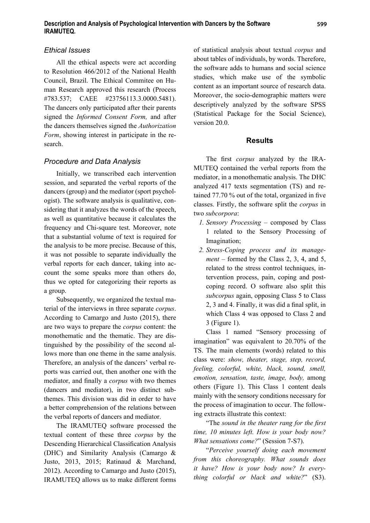## *Ethical Issues*

All the ethical aspects were act according to Resolution 466/2012 of the National Health Council, Brazil. The Ethical Commitee on Human Research approved this research (Process #783.537; CAEE #23756113.3.0000.5481). The dancers only participated after their parents signed the *Informed Consent Form,* and after the dancers themselves signed the *Authorization Form*, showing interest in participate in the research.

## *Procedure and Data Analysis*

Initially, we transcribed each intervention session, and separated the verbal reports of the dancers (group) and the mediator (sport psychologist). The software analysis is qualitative, considering that it analyzes the words of the speech, as well as quantitative because it calculates the frequency and Chi-square test. Moreover, note that a substantial volume of text is required for the analysis to be more precise. Because of this, it was not possible to separate individually the verbal reports for each dancer, taking into account the some speaks more than others do, thus we opted for categorizing their reports as a group.

Subsequently, we organized the textual material of the interviews in three separate *corpus*. According to Camargo and Justo (2015), there are two ways to prepare the *corpus* content: the monothematic and the thematic. They are distinguished by the possibility of the second allows more than one theme in the same analysis. Therefore, an analysis of the dancers' verbal reports was carried out, then another one with the mediator, and finally a *corpus* with two themes (dancers and mediator), in two distinct subthemes. This division was did in order to have a better comprehension of the relations between the verbal reports of dancers and mediator.

The IRAMUTEQ software processed the textual content of these three *corpus* by the Descending Hierarchical Classification Analysis (DHC) and Similarity Analysis (Camargo & Justo, 2013, 2015; Ratinaud & Marchand, 2012). According to Camargo and Justo (2015), IRAMUTEQ allows us to make different forms of statistical analysis about textual *corpus* and about tables of individuals, by words. Therefore, the software adds to humans and social science studies, which make use of the symbolic content as an important source of research data. Moreover, the socio-demographic matters were descriptively analyzed by the software SPSS (Statistical Package for the Social Science), version 20.0.

## **Results**

The first *corpus* analyzed by the IRA-MUTEQ contained the verbal reports from the mediator, in a monothematic analysis. The DHC analyzed 417 texts segmentation (TS) and retained  $77.70\%$  out of the total, organized in five classes. Firstly, the software split the *corpus* in two *subcorpora*:

- *1. Sensory Processing* composed by Class 1 related to the Sensory Processing of Imagination;
- *2. Stress-Coping process and its management* – formed by the Class 2, 3, 4, and 5, related to the stress control techniques, intervention process, pain, coping and postcoping record. O software also split this *subcorpus* again, opposing Class 5 to Class  $2, 3$  and 4. Finally, it was did a final split, in which Class 4 was opposed to Class 2 and 3 (Figure 1).

Class 1 named "Sensory processing of imagination" was equivalent to 20.70% of the TS. The main elements (words) related to this class were: *show, theater, stage, step, record, feeling, colorful, white, black, sound, smell, emotion, sensation, taste, image, body,* among others (Figure 1). This Class 1 content deals mainly with the sensory conditions necessary for the process of imagination to occur. The following extracts illustrate this context:

"The *sound in the theater rang for the first time, 10 minutes left. How is your body now? What sensations come?*" (Session 7-S7).

"*Perceive yourself doing each movement from this choreography. What sounds does it have? How is your body now? Is everything colorful or black and white?*" (S3).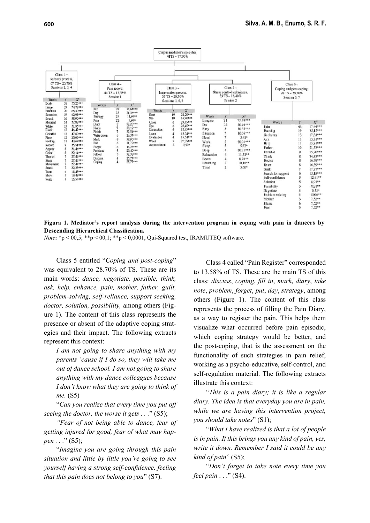

**Figura 1. Mediator's report analysis during the intervention program in coping with pain in dancers by Descending Hierarchical Classification.** 

*Note***:** \*p < 00,5; \*\*p < 00,1; \*\*p < 0,0001, Qui-Squared test, IRAMUTEQ software.

Class 5 entitled "*Coping and post-coping*" was equivalent to 28.70% of TS. These are its main words: *dance, negotiate, possible, think, ask, help, enhance, pain, mother, father, guilt, problem-solving, self-reliance, support seeking, doctor, solution, possibility,* among others (Figure 1). The content of this class represents the presence or absent of the adaptive coping strategies and their impact. The following extracts represent this context:

*I am not going to share anything with my parents 'cause if I do so, they will take me out of dance school. I am not going to share anything with my dance colleagues because I don't know what they are going to think of me.* (S5)

"*Can you realize that every time you put off seeing the doctor, the worse it gets . . .*" (S5);

*"Fear of not being able to dance, fear of getting injured for good, fear of what may happen . . .*" (S5);

"*Imagine you are going through this pain situation and little by little you're going to see vourself having a strong self-confidence, feeling that this pain does not belong to you*" (S7).

Class 4 called "Pain Register" corresponded to 13.58% of TS. These are the main TS of this class: *discuss*, *coping*, *fi ll in*, *mark*, *diary*, *take note*, *problem*, *forget*, *put*, *day*, *strategy*, among others (Figure 1). The content of this class represents the process of filling the Pain Diary, as a way to register the pain. This helps them visualize what occurred before pain episodic, which coping strategy would be better, and the post-coping, that is the assessment on the functionality of such strategies in pain relief, working as a psycho-educative, self-control, and self-regulation material. The following extracts illustrate this context:

"*This is a pain diary; it is like a regular diary. The idea is that everyday you are in pain, while we are having this intervention project, you should take notes*" (S1);

"*What I have realized is that a lot of people is in pain. If this brings you any kind of pain, yes, write it down. Remember I said it could be any kind of pain*" (S5);

"*Don't forget to take note every time you feel pain* . . ." (S4).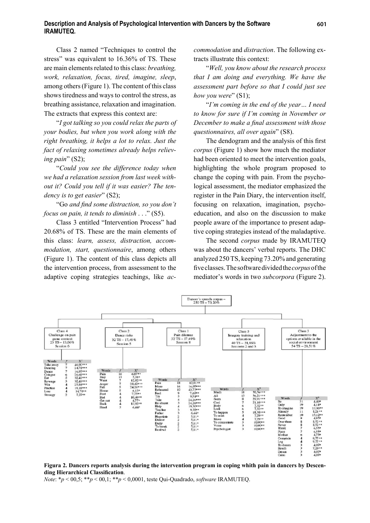#### **Description and Analysis of Psychological Intervention with Dancers by the Software IRAMUTEQ.**

Class 2 named "Techniques to control the stress" was equivalent to 16.36% of TS. These are main elements related to this class: *breathing, work, relaxation, focus, tired, imagine, sleep*, among others (Figure 1). The content of this class shows tiredness and ways to control the stress, as breathing assistance, relaxation and imagination. The extracts that express this context are:

"*I got talking so you could relax the parts of your bodies, but when you work along with the right breathing, it helps a lot to relax. Just the fact of relaxing sometimes already helps relieving pain*" (S2);

"*Could you see the difference today when we had a relaxation session from last week without it? Could you tell if it was easier? The tendency is to get easier*" (S2);

"Go and find some distraction, so you don't *focus on pain, it tends to diminish* . . ." (S5).

Class 3 entitled "Intervention Process" had 20.68% of TS. These are the main elements of this class: *learn, assess, distraction, accommodation, start, questionnaire*, among others (Figure 1). The content of this class depicts all the intervention process, from assessment to the adaptive coping strategies teachings, like *ac-* *commodation* and *distraction*. The following extracts illustrate this context:

"*Well, you know about the research process that I am doing and everything. We have the assessment part before so that I could just see how you were*" (S1);

"*I'm coming in the end of the year… I need to know for sure if I'm coming in November or December to make a final assessment with those questionnaires, all over again*" (S8).

The dendogram and the analysis of this first *corpus* (Figure 1) show how much the mediator had been oriented to meet the intervention goals, highlighting the whole program proposed to change the coping with pain. From the psychological assessment, the mediator emphasized the register in the Pain Diary, the intervention itself, focusing on relaxation, imagination, psychoeducation, and also on the discussion to make people aware of the importance to present adaptive coping strategies instead of the maladaptive.

The second *corpus* made by IRAMUTEQ was about the dancers' verbal reports. The DHC analyzed 250 TS, keeping 73.20% and generating fi ve classes. The software divided the *corpus* of the mediator's words in two *subcorpora* (Figure 2).



#### **Figura 2. Dancers reports analysis during the intervention program in coping whith pain in dancers by Descending Hierarchical Classification.**

*Note*: \**p* < 00,5; \*\**p* < 00,1; \*\**p* < 0,0001, teste Qui-Quadrado, *software* IRAMUTEQ.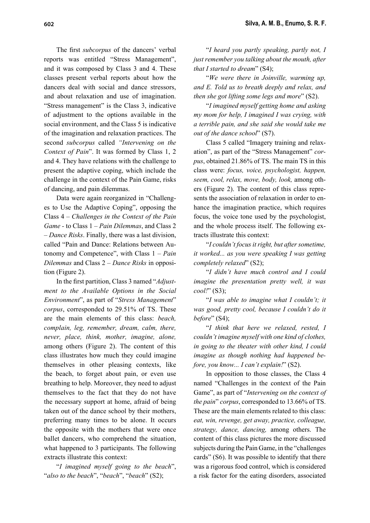The first *subcorpus* of the dancers' verbal reports was entitled "Stress Management", and it was composed by Class 3 and 4. These classes present verbal reports about how the dancers deal with social and dance stressors, and about relaxation and use of imagination. "Stress management" is the Class 3, indicative of adjustment to the options available in the social environment, and the Class 5 is indicative of the imagination and relaxation practices. The second *subcorpus* called *"Intervening on the Context of Pain*". It was formed by Class 1, 2 and 4. They have relations with the challenge to present the adaptive coping, which include the challenge in the context of the Pain Game, risks of dancing, and pain dilemmas.

Data were again reorganized in "Challenges to Use the Adaptive Coping", opposing the Class 4 – *Challenges in the Context of the Pain Game -* to Class 1 – *Pain Dilemmas*, and Class 2 – *Dance Risks*. Finally, there was a last division, called "Pain and Dance: Relations between Autonomy and Competence", with Class 1 – *Pain Dilemmas* and Class 2 – *Dance Risks* in opposition (Figure 2).

In the first partition, Class 3 named "*Adjustment to the Available Options in the Social Environment*", as part of "*Stress Management*" *corpus*, corresponded to 29.51% of TS. These are the main elements of this class: *beach, complain, leg, remember, dream, calm, there, never, place, think, mother, imagine, alone,*  among others (Figure 2). The content of this class illustrates how much they could imagine themselves in other pleasing contexts, like the beach, to forget about pain, or even use breathing to help. Moreover, they need to adjust themselves to the fact that they do not have the necessary support at home, afraid of being taken out of the dance school by their mothers, preferring many times to be alone. It occurs the opposite with the mothers that were once ballet dancers, who comprehend the situation, what happened to 3 participants. The following extracts illustrate this context:

"*I imagined myself going to the beach*", "*also to the beach*", "*beach*", "*beach*" (S2);

"*I heard you partly speaking, partly not, I just remember you talking about the mouth, after that I started to dream*" (S4);

"*We were there in Joinville, warming up, and E. Told us to breath deeply and relax, and then she got lifting some legs and more*" (S2).

"*I imagined myself getting home and asking my mom for help, I imagined I was crying, with a terrible pain, and she said she would take me out of the dance school*" (S7).

Class 5 called "Imagery training and relaxation", as part of the "Stress Management" *corpus*, obtained 21.86% of TS. The main TS in this class were: *focus, voice, psychologist, happen, seem, cool, relax, move, body, look,* among others (Figure 2). The content of this class represents the association of relaxation in order to enhance the imagination practice, which requires focus, the voice tone used by the psychologist, and the whole process itself. The following extracts illustrate this context:

"*I couldn't focus it right, but after sometime, it worked... as you were speaking I was getting completely relaxed*" (S2);

"*I didn't have much control and I could imagine the presentation pretty well, it was cool!*" (S3);

"*I was able to imagine what I couldn't; it was good, pretty cool, because I couldn't do it before*" (S4);

"*I think that here we relaxed, rested, I couldn't imagine myself with one kind of clothes, in going to the theater with other kind, I could imagine as though nothing had happened before, you know... I can't explain!*" (S2).

In opposition to those classes, the Class 4 named "Challenges in the context of the Pain Game", as part of "*Intervening on the context of the pain*" *corpus*, corresponded to 13.66% of TS. These are the main elements related to this class: *eat, win, revenge, get away, practice, colleague, strategy, dance, dancing,* among others. The content of this class pictures the more discussed subjects during the Pain Game, in the "challenges cards" (S6). It was possible to identify that there was a rigorous food control, which is considered a risk factor for the eating disorders, associated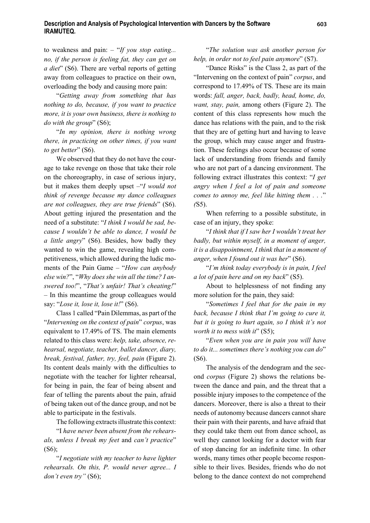to weakness and pain: – "*If you stop eating... no, if the person is feeling fat, they can get on a diet*" (S6). There are verbal reports of getting away from colleagues to practice on their own, overloading the body and causing more pain:

"*Getting away from something that has nothing to do, because, if you want to practice more, it is your own business, there is nothing to do with the group*" (S6);

"*In my opinion, there is nothing wrong there, in practicing on other times, if you want to get better*" (S6).

We observed that they do not have the courage to take revenge on those that take their role on the choreography, in case of serious injury, but it makes them deeply upset –"*I would not think of revenge because my dance colleagues are not colleagues, they are true friends*" (S6). About getting injured the presentation and the need of a substitute: "*I think I would be sad, because I wouldn't be able to dance, I would be a little angry*" (S6). Besides, how badly they wanted to win the game, revealing high competitiveness, which allowed during the ludic moments of the Pain Game – "*How can anybody else win?*", "*Why does she win all the time? I answered too!*", "*That's unfair! That's cheating!*" *–* In this meantime the group colleagues would say: "*Lose it, lose it, lose it!*" (S6).

Class 1 called "Pain Dilemmas, as part of the "*Intervening on the context of pain*" *corpus*, was equivalent to 17.49% of TS. The main elements related to this class were: *help, take, absence, rehearsal, negotiate, teacher, ballet dancer, diary, break, festival, father, try, feel, pain* (Figure 2). Its content deals mainly with the difficulties to negotiate with the teacher for lighter rehearsal, for being in pain, the fear of being absent and fear of telling the parents about the pain, afraid of being taken out of the dance group, and not be able to participate in the festivals.

The following extracts illustrate this context:

"I *have never been absent from the rehearsals, unless I break my feet* and *can't practice*" (S6);

"*I negotiate with my teacher to have lighter rehearsals. On this, P. would never agree... I don't even try"* (S6);

"*The solution was ask another person for help, in order not to feel pain anymore*" (S7).

"Dance Risks" is the Class 2, as part of the "Intervening on the context of pain" *corpus*, and correspond to 17.49% of TS. These are its main words: *fall, anger, back, badly, head, home, do, want, stay, pain,* among others (Figure 2). The content of this class represents how much the dance has relations with the pain, and to the risk that they are of getting hurt and having to leave the group, which may cause anger and frustration. These feelings also occur because of some lack of understanding from friends and family who are not part of a dancing environment. The following extract illustrates this context: "*I get angry when I feel a lot of pain and someone comes to annoy me, feel like hitting them . . .*" *(*S5).

When referring to a possible substitute, in case of an injury, they spoke:

"*I think that if I saw her I wouldn't treat her badly, but within myself, in a moment of anger, it is a disappointment, I think that in a moment of anger, when I found out it was her*" (S6).

"*I'm think today everybody is in pain, I feel a lot of pain here and on my back*" (S5).

About to helplessness of not finding any more solution for the pain, they said:

"*Sometimes I feel that for the pain in my back, because I think that I'm going to cure it, but it is going to hurt again, so I think it's not worth it to mess with it*" (S5);

"*Even when you are in pain you will have to do it... sometimes there's nothing you can do*" (S6).

The analysis of the dendogram and the second *corpus* (Figure 2) shows the relations between the dance and pain, and the threat that a possible injury imposes to the competence of the dancers. Moreover, there is also a threat to their needs of autonomy because dancers cannot share their pain with their parents, and have afraid that they could take them out from dance school, as well they cannot looking for a doctor with fear of stop dancing for an indefinite time. In other words, many times other people become responsible to their lives. Besides, friends who do not belong to the dance context do not comprehend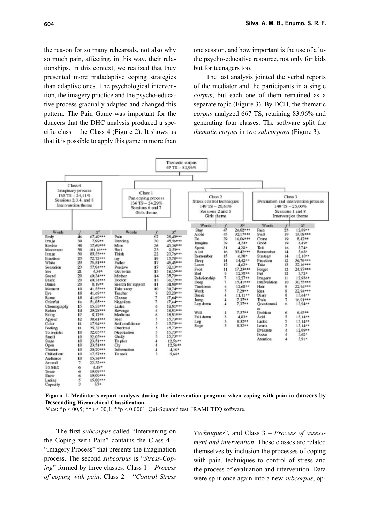the reason for so many rehearsals, not also why so much pain, affecting, in this way, their relationships. In this context, we realized that they presented more maladaptive coping strategies than adaptive ones. The psychological intervention, the imagery practice and the psycho-educative process gradually adapted and changed this pattern. The Pain Game was important for the dancers that the DHC analysis produced a specific class – the Class 4 (Figure 2). It shows us that it is possible to apply this game in more than

one session, and how important is the use of a ludic psycho-educative resource, not only for kids but for teenagers too.

The last analysis jointed the verbal reports of the mediator and the participants in a single *corpus*, but each one of them remained as a separate topic (Figure 3). By DCH, the thematic *corpus* analyzed 667 TS, retaining 83.96% and generating four classes. The software split the *thematic corpus* in two *subcorpora* (Figure 3).



**Figura 1. Mediator's report analysis during the intervention program when coping with pain in dancers by Descending Hierarchical Classification.** 

*Note*:  $*_p$  < 00,5;  $**_p$  < 00,1;  $**_p$  < 0,0001, Qui-Squared test, IRAMUTEQ software.

The first *subcorpus* called "Intervening on the Coping with Pain" contains the Class 4 – "Imagery Process" that presents the imagination process. The second *subcorpus* is "*Stress-Coping*" formed by three classes: Class 1 – *Process of coping with pain*, Class 2 – "*Control Stress* 

*Techniques*", and Class 3 – *Process of assessment and intervention.* These classes are related themselves by inclusion the processes of coping with pain, techniques to control of stress and the process of evaluation and intervention. Data were split once again into a new *subcorpus*, op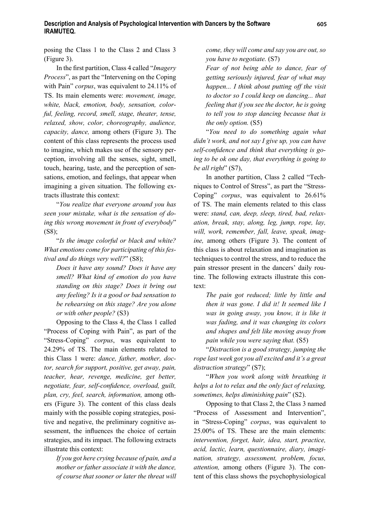posing the Class 1 to the Class 2 and Class 3 (Figure 3).

In the first partition, Class 4 called "*Imagery Process*", as part the "Intervening on the Coping with Pain" *corpus*, was equivalent to 24.11% of TS. Its main elements were: *movement, image, white, black, emotion, body, sensation, colorful, feeling, record, smell, stage, theater, tense, relaxed, show, color, choreography, audience, capacity, dance,* among others (Figure 3). The content of this class represents the process used to imagine, which makes use of the sensory perception, involving all the senses, sight, smell, touch, hearing, taste, and the perception of sensations, emotion, and feelings, that appear when imagining a given situation. The following extracts illustrate this context:

"*You realize that everyone around you has seen your mistake, what is the sensation of doing this wrong movement in front of everybody*"  $(S8)$ ;

"*Is the image colorful or black and white? What emotions come for participating of this festival and do things very well?*" (S8);

*Does it have any sound? Does it have any smell? What kind of emotion do you have standing on this stage? Does it bring out any feeling? Is it a good or bad sensation to be rehearsing on this stage? Are you alone or with other people?* (S3)

Opposing to the Class 4, the Class 1 called "Process of Coping with Pain", as part of the "Stress-Coping" *corpus*, was equivalent to 24.29% of TS. The main elements related to this Class 1 were: *dance, father, mother, doctor, search for support, positive, get away, pain, teacher, hear, revenge, medicine, get better, negotiate, fear, self-confidence, overload, guilt, plan, cry, feel, search, information,* among others (Figure 3). The content of this class deals mainly with the possible coping strategies, positive and negative, the preliminary cognitive assessment, the influences the choice of certain strategies, and its impact. The following extracts illustrate this context:

*If you got here crying because of pain, and a mother or father associate it with the dance, of course that sooner or later the threat will* 

*come, they will come and say you are out, so you have to negotiate.* (S7)

*Fear of not being able to dance, fear of getting seriously injured, fear of what may happen... I think about putting off the visit to doctor so I could keep on dancing... that feeling that if you see the doctor, he is going to tell you to stop dancing because that is the only option.* (S5)

"*You need to do something again what didn't work, and not say I give up, you can have*  self-confidence and think that everything is go*ing to be ok one day, that everything is going to be all right*" (S7),

In another partition, Class 2 called "Techniques to Control of Stress", as part the "Stress-Coping" *corpus*, was equivalent to 26.61% of TS. The main elements related to this class were: *stand, can, deep, sleep, tired, bad, relaxation, break, stay, along, leg, jump, rope, lay, will, work, remember, fall, leave, speak, imagine,* among others (Figure 3). The content of this class is about relaxation and imagination as techniques to control the stress, and to reduce the pain stressor present in the dancers' daily routine. The following extracts illustrate this context:

*The pain got reduced; little by little and then it was gone. I did it! It seemed like I was in going away, you know, it is like it was fading, and it was changing its colors and shapes and felt like moving away from pain while you were saying that.* (S5)

"*Distraction is a good strategy, jumping the rope last week got you all excited and it's a great distraction strategy*" (S7);

"*When you work along with breathing it helps a lot to relax and the only fact of relaxing, sometimes, helps diminishing pain*" (S2).

Opposing to that Class 2, the Class 3 named "Process of Assessment and Intervention", in "Stress-Coping" *corpus*, was equivalent to 25.00% of TS. These are the main elements: *intervention, forget, hair, idea, start, practice, acid, lactic, learn, questionnaire, diary, imagination, strategy, assessment, problem, focus, attention,* among others (Figure 3). The content of this class shows the psychophysiological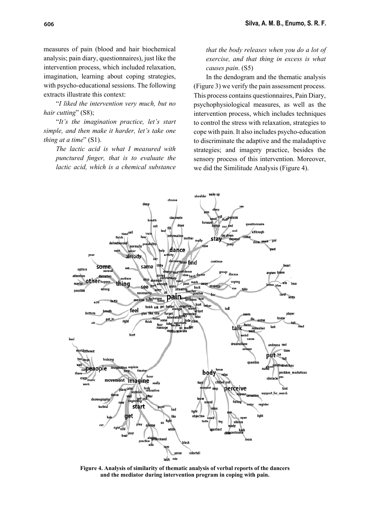measures of pain (blood and hair biochemical analysis; pain diary, questionnaires), just like the intervention process, which included relaxation, imagination, learning about coping strategies, with psycho-educational sessions. The following extracts illustrate this context:

"*I liked the intervention very much, but no hair cutting*" (S8);

"*It's the imagination practice, let's start simple, and then make it harder, let's take one thing at a time*" (S1).

*The lactic acid is what I measured with punctured finger, that is to evaluate the lactic acid, which is a chemical substance*  *that the body releases when you do a lot of exercise, and that thing in excess is what causes pain*. (S5)

In the dendogram and the thematic analysis (Figure 3) we verify the pain assessment process. This process contains questionnaires, Pain Diary, psychophysiological measures, as well as the intervention process, which includes techniques to control the stress with relaxation, strategies to cope with pain. It also includes psycho-education to discriminate the adaptive and the maladaptive strategies; and imagery practice, besides the sensory process of this intervention. Moreover, we did the Similitude Analysis (Figure 4).



**Figure 4. Analysis of similarity of thematic analysis of verbal reports of the dancers and the mediator during intervention program in coping with pain.**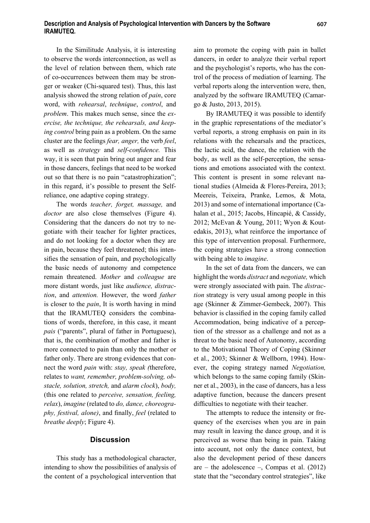#### **Description and Analysis of Psychological Intervention with Dancers by the Software IRAMUTEQ.**

In the Similitude Analysis, it is interesting to observe the words interconnection, as well as the level of relation between them, which rate of co-occurrences between them may be stronger or weaker (Chi-squared test). Thus, this last analysis showed the strong relation of *pain*, core word, with *rehearsal*, *technique*, *control*, and *problem*. This makes much sense, since the *exercise, the technique, the rehearsals, and keeping control* bring pain as a problem. On the same cluster are the feelings *fear, anger,* the verb *feel*, as well as *strategy* and *self-confidence*. This way, it is seen that pain bring out anger and fear in those dancers, feelings that need to be worked out so that there is no pain "catastrophization"; in this regard, it's possible to present the Selfreliance, one adaptive coping strategy.

The words *teacher, forget, massage,* and *doctor* are also close themselves (Figure 4). Considering that the dancers do not try to negotiate with their teacher for lighter practices, and do not looking for a doctor when they are in pain, because they feel threatened; this intensifies the sensation of pain, and psychologically the basic needs of autonomy and competence remain threatened. *Mother* and *colleague* are more distant words, just like *audience, distraction*, and *attention.* However, the word *father* is closer to the *pain*, It is worth having in mind that the IRAMUTEQ considers the combinations of words, therefore, in this case, it meant *pais* ("parents", plural of father in Portuguese), that is, the combination of mother and father is more connected to pain than only the mother or father only. There are strong evidences that connect the word *pain* with: *stay, speak (*therefore, relates to *want, remember, problem-solving, obstacle, solution, stretch,* and *alarm clock*), *body,*  (this one related to *perceive, sensation, feeling, relax*), *imagine* (related to *do, dance, choreography, festival, alone)*, and finally, *feel* (related to *breathe deeply*; Figure 4).

### **Discussion**

This study has a methodological character, intending to show the possibilities of analysis of the content of a psychological intervention that aim to promote the coping with pain in ballet dancers, in order to analyze their verbal report and the psychologist's reports, who has the control of the process of mediation of learning. The verbal reports along the intervention were, then, analyzed by the software IRAMUTEQ (Camargo & Justo, 2013, 2015).

By IRAMUTEQ it was possible to identify in the graphic representations of the mediator's verbal reports, a strong emphasis on pain in its relations with the rehearsals and the practices, the lactic acid, the dance, the relation with the body, as well as the self-perception, the sensations and emotions associated with the context. This content is present in some relevant national studies (Almeida & Flores-Pereira, 2013; Meereis, Teixeira, Pranke, Lemos, & Mota, 2013) and some of international importance (Cahalan et al., 2015; Jacobs, Hincapié, & Cassidy, 2012; McEvan & Young, 2011; Wyon & Koutedakis, 2013), what reinforce the importance of this type of intervention proposal. Furthermore, the coping strategies have a strong connection with being able to *imagine*.

In the set of data from the dancers, we can highlight the words *distract* and *negotiate,* which were strongly associated with pain. The *distraction* strategy is very usual among people in this age (Skinner & Zimmer-Gembeck, 2007). This behavior is classified in the coping family called Accommodation, being indicative of a perception of the stressor as a challenge and not as a threat to the basic need of Autonomy, according to the Motivational Theory of Coping (Skinner et al., 2003; Skinner & Wellborn, 1994). However, the coping strategy named *Negotiation,*  which belongs to the same coping family (Skinner et al., 2003), in the case of dancers, has a less adaptive function, because the dancers present difficulties to negotiate with their teacher.

The attempts to reduce the intensity or frequency of the exercises when you are in pain may result in leaving the dance group, and it is perceived as worse than being in pain. Taking into account, not only the dance context, but also the development period of these dancers are – the adolescence –, Compas et al.  $(2012)$ state that the "secondary control strategies", like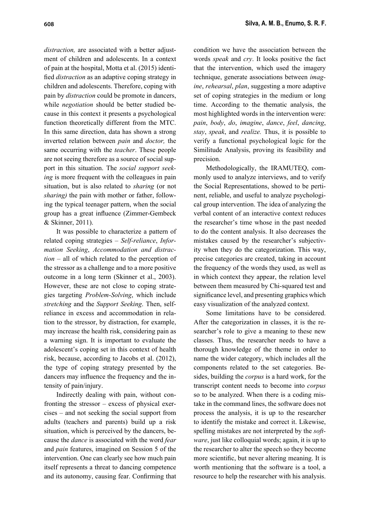*distraction,* are associated with a better adjustment of children and adolescents. In a context of pain at the hospital, Motta et al. (2015) identified *distraction* as an adaptive coping strategy in children and adolescents. Therefore, coping with pain by *distraction* could be promote in dancers, while *negotiation* should be better studied because in this context it presents a psychological function theoretically different from the MTC. In this same direction, data has shown a strong inverted relation between *pain* and *doctor,* the same occurring with the *teacher*. These people are not seeing therefore as a source of social support in this situation. The *social support seeking* is more frequent with the colleagues in pain situation, but is also related to *sharing* (or not *sharing)* the pain with mother or father, following the typical teenager pattern, when the social group has a great influence (Zimmer-Gembeck & Skinner, 2011).

It was possible to characterize a pattern of related coping strategies – *Self-reliance*, *Information Seeking*, *Accommodation and distraction* – all of which related to the perception of the stressor as a challenge and to a more positive outcome in a long term (Skinner et al., 2003). However, these are not close to coping strategies targeting *Problem-Solving*, which include *stretching* and the *Support Seeking*. Then, selfreliance in excess and accommodation in relation to the stressor, by distraction, for example, may increase the health risk, considering pain as a warning sign. It is important to evaluate the adolescent's coping set in this context of health risk, because, according to Jacobs et al. (2012), the type of coping strategy presented by the dancers may influence the frequency and the intensity of pain/injury.

Indirectly dealing with pain, without confronting the stressor – excess of physical exercises – and not seeking the social support from adults (teachers and parents) build up a risk situation, which is perceived by the dancers, because the *dance* is associated with the word *fear*  and *pain* features, imagined on Session 5 of the intervention. One can clearly see how much pain itself represents a threat to dancing competence and its autonomy, causing fear. Confirming that condition we have the association between the words *speak* and *cry*. It looks positive the fact that the intervention, which used the imagery technique, generate associations between *imagine*, *rehearsal*, *plan*, suggesting a more adaptive set of coping strategies in the medium or long time. According to the thematic analysis, the most highlighted words in the intervention were: *pain*, *body*, *do*, *imagine*, *dance*, *feel*, *dancing*, *stay*, *speak*, and *realize.* Thus, it is possible to verify a functional psychological logic for the Similitude Analysis, proving its feasibility and precision.

Methodologically, the IRAMUTEQ, commonly used to analyze interviews, and to verify the Social Representations, showed to be pertinent, reliable, and useful to analyze psychological group intervention. The idea of analyzing the verbal content of an interactive context reduces the researcher's time whose in the past needed to do the content analysis. It also decreases the mistakes caused by the researcher's subjectivity when they do the categorization. This way, precise categories are created, taking in account the frequency of the words they used, as well as in which context they appear, the relation level between them measured by Chi-squared test and significance level, and presenting graphics which easy visualization of the analyzed context.

Some limitations have to be considered. After the categorization in classes, it is the researcher's role to give a meaning to these new classes. Thus, the researcher needs to have a thorough knowledge of the theme in order to name the wider category, which includes all the components related to the set categories. Besides, building the *corpus* is a hard work, for the transcript content needs to become into *corpus* so to be analyzed. When there is a coding mistake in the command lines, the software does not process the analysis, it is up to the researcher to identify the mistake and correct it. Likewise, spelling mistakes are not interpreted by the *software*, just like colloquial words; again, it is up to the researcher to alter the speech so they become more scientific, but never altering meaning. It is worth mentioning that the software is a tool, a resource to help the researcher with his analysis.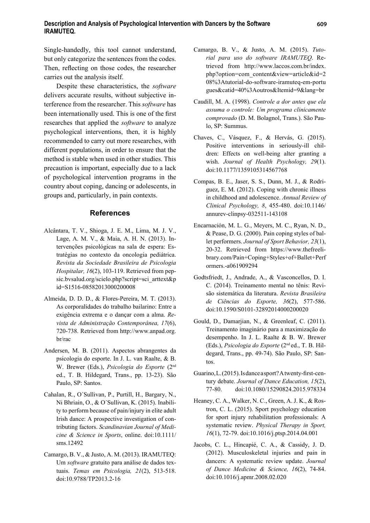Single-handedly, this tool cannot understand, but only categorize the sentences from the codes. Then, reflecting on those codes, the researcher carries out the analysis itself.

Despite these characteristics, the *software*  delivers accurate results, without subjective interference from the researcher. This *software* has been internationally used. This is one of the first researches that applied the *software* to analyze psychological interventions, then, it is highly recommended to carry out more researches, with different populations, in order to ensure that the method is stable when used in other studies. This precaution is important, especially due to a lack of psychological intervention programs in the country about coping, dancing or adolescents, in groups and, particularly, in pain contexts.

#### **References**

- Alcântara, T. V., Shioga, J. E. M., Lima, M. J. V., Lage, A. M. V., & Maia, A. H. N. (2013). Intervenções psicológicas na sala de espera: Estratégias no contexto da oncologia pediátrica. *Revista da Sociedade Brasileira de Psicologia Hospitalar, 16*(2), 103-119. Retrieved from pepsic.bvsalud.org/scielo.php?script=sci\_arttext&p id=S1516-08582013000200008
- Almeida, D. D. D., & Flores-Pereira, M. T. (2013). As corporalidades do trabalho bailarino: Entre a exigência extrema e o dançar com a alma. *Revista de Administração Contemporânea, 17*(6), 720-738. Retrieved from http://www.anpad.org. br/rac
- Andersen, M. B. (2011). Aspectos abrangentes da psicologia do esporte. In J. L. van Raalte, & B. W. Brewer (Eds.), *Psicologia do Esporte* (2nd ed., T. B. Hildegard, Trans., pp. 13-23). São Paulo, SP: Santos.
- Cahalan, R., O´Sullivan, P., Purtill, H., Bargary, N., Ni Bhriain, O., & O´Sullivan, K. (2015). Inability to perform because of pain/injury in elite adult Irish dance: A prospective investigation of contributing factors. *Scandinavian Journal of Medicine & Science in Sports*, online. doi:10.1111/ sms.12492
- Camargo, B. V., & Justo, A. M. (2013). IRAMUTEQ: Um *software* gratuito para análise de dados textuais. *Temas em Psicologia, 21*(2), 513-518. doi:10.9788/TP2013.2-16
- Camargo, B. V., & Justo, A. M. (2015). *Tutorial para uso do software IRAMUTEQ*. Retrieved from http://www.laccos.com.br/index. php?option=com\_content&view=article&id=2 08%3Atutorial-do-software-iramuteq-em-portu gues&catid=40%3Aoutros&Itemid=9&lang=br
- Caudill, M. A. (1998). *Controle a dor antes que ela assuma o controle: Um programa clinicamente comprovado* (D. M. Bolagnol, Trans.). São Paulo, SP: Summus.
- Chaves, C., Vásquez, F., & Hervás, G. (2015). Positive interventions in seriously-ill children: Effects on well-being alter granting a wish. *Journal of Health Psychology, 29*(1). doi:10.1177**/**1359105314567768
- Compas, B. E., Jaser, S. S., Dunn, M. J., & Rodriguez, E. M. (2012). Coping with chronic illness in childhood and adolescence. *Annual Review of Clinical Psychology, 8*, 455-480. doi:10.1146/ annurev-clinpsy-032511-143108
- Encarnación, M. L. G., Meyers, M. C., Ryan, N. D., & Pease, D. G. (2000). Pain coping styles of ballet performers. *Journal of Sport Behavior, 23*(1), 20-32. Retrieved from https://www.thefreelibrary.com/Pain+Coping+Styles+of+Ballet+Perf ormers.-a061909294
- Godtsfriedt, J., Andrade, A., & Vasconcellos, D. I. C. (2014). Treinamento mental no tênis: Revisão sistemática da literatura. *Revista Brasileira de Ciências do Esporte, 36*(2), 577-586. doi:10.1590/S0101-32892014000200020
- Gould, D., Damarjian, N., & Greenleaf, C. (2011). Treinamento imaginário para a maximização do desempenho. In J. L. Raalte & B. W. Brewer (Eds.), *Psicologia do Esporte* (2nd ed., T. B. Hildegard, Trans., pp. 49-74). São Paulo, SP: Santos.
- Guarino, L. (2015). Is dance a sport? A twenty-first-century debate. *Journal of Dance Education, 15*(2), 77-80. doi:10.1080/15290824.2015.978334
- Heaney, C. A., Walker, N. C., Green, A. J. K., & Rostron, C. L. (2015). Sport psychology education for sport injury rehabilitation professionals: A systematic review. *Physical Therapy in Sport, 16*(1), 72-79. doi:10.1016/j.ptsp.2014.04.001
- Jacobs, C. L., Hincapié, C. A., & Cassidy, J. D. (2012). Musculoskeletal injuries and pain in dancers: A systematic review update. *Journal of Dance Medicine & Science, 16*(2), 74-84. doi:10.1016/j.apmr.2008.02.020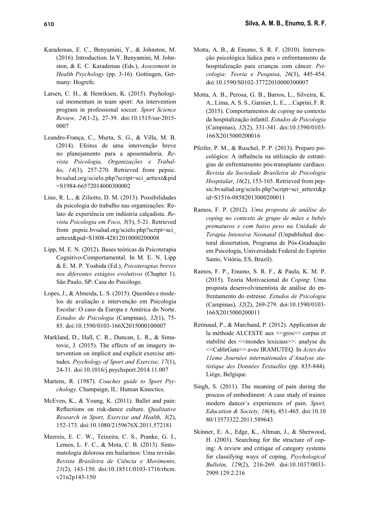- Karademas, E. C., Benyamini, Y., & Johnston, M. (2016). Introduction. In Y. Benyamini, M. Johnston, & E. C. Karademas (Eds.), *Assessment in Health Psychology* (pp. 3-16). Gottingen, Germany: Hogrefe.
- Larsen, C. H., & Henriksen, K. (2015). Psyhological momentum in team sport: An intervention program in professional soccer. *Sport Science Review, 24*(1-2), 27-39. doi:10.1515/ssr-2015- 0007
- Leandro-França, C., Murta, S. G., & Villa, M. B. (2014). Efeitos de uma intervenção breve no planejamento para a aposentadoria. *Revista Psicologia, Organizações e Trabalho, 14*(3), 257-270. Retrieved from pepsic. bvsalud.org/scielo.php?script=sci\_arttext&pid =S1984-66572014000300002
- Lino, R. L., & Ziliotto, D. M. (2013). Possibilidades da psicologia do trabalho nas organizações: Relato de experiência em indústria calçadista. *Revista Psicologia em Foco, 5*(5), 5-21. Retrieved from pepsic.bvsalud.org/scielo.php?script=sci\_ arttext&pid=S1808-42812010000200008
- Lipp, M. E. N. (2012). Bases teóricas da Psicoterapia Cognitivo-Comportamental. In M. E. N. Lipp & E. M. P. Yoshida (Ed.), *Psicoterapias breves nos diferentes estágios evolutivos* (Chapter 1). São Paulo, SP: Casa do Psicólogo.
- Lopes, J., & Almeida, L. S. (2015). Questões e modelos de avaliação e intervenção em Psicologia Escolar: O caso da Europa e América do Norte. *Estudos de Psicologia* (Campinas), *32*(1), 75- 85. doi:10.1590/0103-166X2015000100007
- Markland, D., Hall, C. R., Duncan, L. R., & Simatovic, J. (2015). The effects of an imagery intervention on implicit and explicit exercise attitudes. *Psychology of Sport and Exercise, 17*(1), 24-31. doi:10.1016/j.psychsport.2014.11.007
- Martens, R. (1987). *Coaches guide to Sport Psychology*. Champaign, IL: Human Kinectics.
- McEven, K., & Young, K. (2011). Ballet and pain: Reflections on risk-dance culture. *Qualitative Research in Sport, Exercise and Health, 3*(2), 152-173. doi:10.1080/2159676X.2011.572181
- Meereis, E. C. W., Teixeira, C. S., Pranke, G. I., Lemos, L. F. C., & Mota, C. B. (2013). Sintomatologia dolorosa em bailarinos: Uma revisão. *Revista Brasileira de Ciência e Movimento, 21*(2), 143-150. doi:10.18511/0103-1716/rbcm. v21n2p143-150
- Motta, A. B., & Enumo, S. R. F. (2010). Intervenção psicológica lúdica para o enfrentamento da hospitalização para crianças com câncer. *Psicologia: Teoria e Pesquisa*, *26*(3), 445-454. doi:10.1590/S0102-37722010000300007
- Motta, A. B., Perosa, G. B., Barros, L., Silveira, K. A., Lima, A. S. S., Garnier, L. E., ...Caprini, F. R. (2015). Comportamentos de *coping* no contexto da hospitalização infantil. *Estudos de Psicologia*  (Campinas), *32*(2), 331-341. doi:10.1590/0103- 166X2015000200016
- Pfeifer, P. M., & Ruschel, P. P. (2013). Preparo psicológico: A influência na utilização de estratégias de enfrentamento pós-transplante cardíaco. *Revista da Sociedade Brasileira de Psicologia Hospitalar, 16*(2), 153-165. Retrieved from pepsic.bvsalud.org/scielo.php?script=sci\_arttext&p id=S1516-08582013000200011
- Ramos, F. P. (2012). *Uma proposta de análise do coping no contexto de grupo de mães e bebês prematuros e com baixo peso na Unidade de Terapia Intensiva Neonatal* (Unpublished doctoral dissertation, Programa de Pós-Graduação em Psicologia, Universidade Federal do Espírito Santo, Vitória, ES, Brazil).
- Ramos, F. P., Enumo, S. R. F., & Paula, K. M. P. (2015). Teoria Motivacional do *Coping*: Uma proposta desenvolvimentista de análise do enfrentamento do estresse. *Estudos de Psicologia*  (Campinas), *32*(2), 269-279. doi:10.1590/0103- 166X2015000200011
- Retinaud, P., & Marchand, P. (2012). Application de la méthode ALCESTE aux << gros >> corpus et stabilité des <<mondes lexicaus>>: analyse du <<CableGate>> avec IRAMUTEQ. In *Actes des 11eme Journées internationales d'Analyse statistique des Données Textuelles* (pp. 835-844). Liège, Belgique.
- Singh, S. (2011). The meaning of pain during the process of embodiment: A case study of trainee modern dancer´s experiences of pain. *Sport, Education & Society, 16*(4), 451-465. doi:10.10 80/13573322.2011.589643
- Skinner, E. A., Edge, K., Altman, J., & Sherwood, H. (2003). Searching for the structure of coping: A review and critique of category systems for classifying ways of coping. *Psychological Bulletin, 129*(2), 216-269. doi:10.1037/0033- 2909.129.2.216